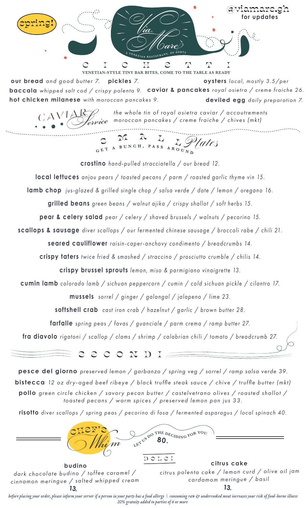

*before placing your order, please inform your server if a person in your party has a food allergy | consuming raw & undercooked meat increases your risk of food-borne illness 20% gratuity added to parties of 6 or more*